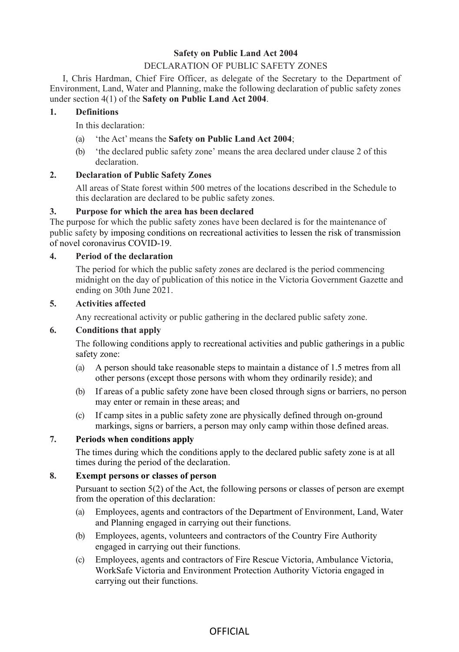## **Safety on Public Land Act 2004**

## DECLARATION OF PUBLIC SAFETY ZONES

I, Chris Hardman, Chief Fire Officer, as delegate of the Secretary to the Department of Environment, Land, Water and Planning, make the following declaration of public safety zones under section 4(1) of the **Safety on Public Land Act 2004**.

## **1. Definitions**

In this declaration:

- (a) 'the Act' means the **Safety on Public Land Act 2004**;
- (b) 'the declared public safety zone' means the area declared under clause 2 of this declaration.

## **2. Declaration of Public Safety Zones**

All areas of State forest within 500 metres of the locations described in the Schedule to this declaration are declared to be public safety zones.

## **3. Purpose for which the area has been declared**

The purpose for which the public safety zones have been declared is for the maintenance of public safety by imposing conditions on recreational activities to lessen the risk of transmission of novel coronavirus COVID-19.

## **4. Period of the declaration**

The period for which the public safety zones are declared is the period commencing midnight on the day of publication of this notice in the Victoria Government Gazette and ending on 30th June 2021.

#### **5. Activities affected**

Any recreational activity or public gathering in the declared public safety zone.

#### **6. Conditions that apply**

The following conditions apply to recreational activities and public gatherings in a public safety zone:

- (a) A person should take reasonable steps to maintain a distance of 1.5 metres from all other persons (except those persons with whom they ordinarily reside); and
- (b) If areas of a public safety zone have been closed through signs or barriers, no person may enter or remain in these areas; and
- (c) If camp sites in a public safety zone are physically defined through on-ground markings, signs or barriers, a person may only camp within those defined areas.

#### **7. Periods when conditions apply**

The times during which the conditions apply to the declared public safety zone is at all times during the period of the declaration.

#### **8. Exempt persons or classes of person**

Pursuant to section 5(2) of the Act, the following persons or classes of person are exempt from the operation of this declaration:

- (a) Employees, agents and contractors of the Department of Environment, Land, Water and Planning engaged in carrying out their functions.
- (b) Employees, agents, volunteers and contractors of the Country Fire Authority engaged in carrying out their functions.
- (c) Employees, agents and contractors of Fire Rescue Victoria, Ambulance Victoria, WorkSafe Victoria and Environment Protection Authority Victoria engaged in carrying out their functions.

# **OFFICIAL**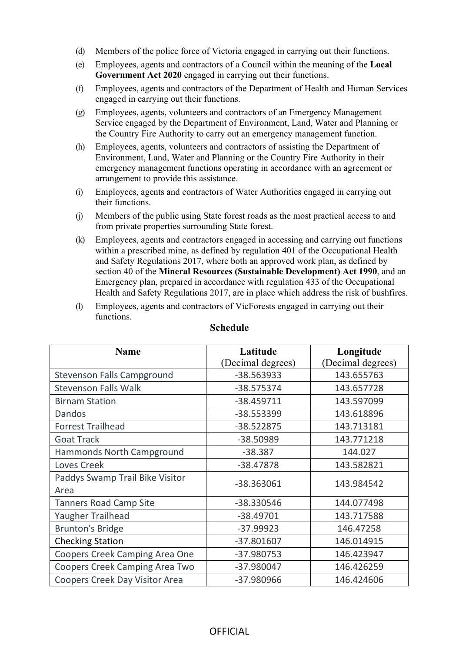- (d) Members of the police force of Victoria engaged in carrying out their functions.
- (e) Employees, agents and contractors of a Council within the meaning of the **Local Government Act 2020** engaged in carrying out their functions.
- (f) Employees, agents and contractors of the Department of Health and Human Services engaged in carrying out their functions.
- (g) Employees, agents, volunteers and contractors of an Emergency Management Service engaged by the Department of Environment, Land, Water and Planning or the Country Fire Authority to carry out an emergency management function.
- (h) Employees, agents, volunteers and contractors of assisting the Department of Environment, Land, Water and Planning or the Country Fire Authority in their emergency management functions operating in accordance with an agreement or arrangement to provide this assistance.
- (i) Employees, agents and contractors of Water Authorities engaged in carrying out their functions.
- (j) Members of the public using State forest roads as the most practical access to and from private properties surrounding State forest.
- (k) Employees, agents and contractors engaged in accessing and carrying out functions within a prescribed mine, as defined by regulation 401 of the Occupational Health and Safety Regulations 2017, where both an approved work plan, as defined by section 40 of the **Mineral Resources (Sustainable Development) Act 1990**, and an Emergency plan, prepared in accordance with regulation 433 of the Occupational Health and Safety Regulations 2017, are in place which address the risk of bushfires.
- (l) Employees, agents and contractors of VicForests engaged in carrying out their functions.

| <b>Name</b>                     | Latitude          | Longitude         |
|---------------------------------|-------------------|-------------------|
|                                 | (Decimal degrees) | (Decimal degrees) |
| Stevenson Falls Campground      | -38.563933        | 143.655763        |
| <b>Stevenson Falls Walk</b>     | -38.575374        | 143.657728        |
| <b>Birnam Station</b>           | $-38.459711$      | 143.597099        |
| Dandos                          | -38.553399        | 143.618896        |
| <b>Forrest Trailhead</b>        | -38.522875        | 143.713181        |
| <b>Goat Track</b>               | -38.50989         | 143.771218        |
| Hammonds North Campground       | $-38.387$         | 144.027           |
| Loves Creek                     | -38.47878         | 143.582821        |
| Paddys Swamp Trail Bike Visitor | -38.363061        | 143.984542        |
| Area                            |                   |                   |
| <b>Tanners Road Camp Site</b>   | -38.330546        | 144.077498        |
| Yaugher Trailhead               | $-38.49701$       | 143.717588        |
| <b>Brunton's Bridge</b>         | $-37.99923$       | 146.47258         |
| <b>Checking Station</b>         | $-37.801607$      | 146.014915        |
| Coopers Creek Camping Area One  | -37.980753        | 146.423947        |
| Coopers Creek Camping Area Two  | -37.980047        | 146.426259        |
| Coopers Creek Day Visitor Area  | -37.980966        | 146.424606        |

## **Schedule**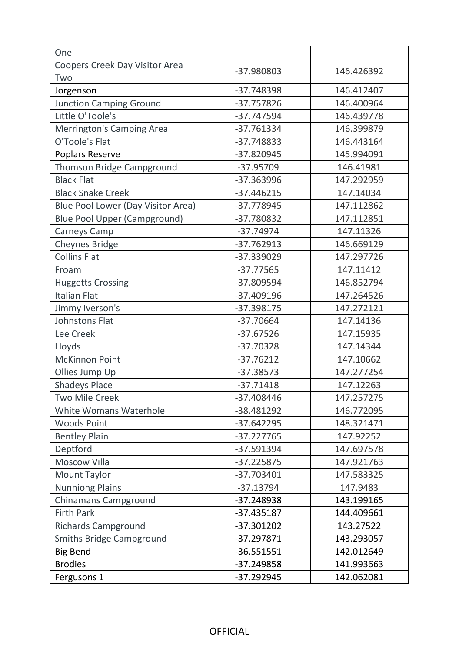| One                                 |              |            |
|-------------------------------------|--------------|------------|
| Coopers Creek Day Visitor Area      | -37.980803   | 146.426392 |
| Two                                 |              |            |
| Jorgenson                           | -37.748398   | 146.412407 |
| <b>Junction Camping Ground</b>      | $-37.757826$ | 146.400964 |
| Little O'Toole's                    | -37.747594   | 146.439778 |
| Merrington's Camping Area           | -37.761334   | 146.399879 |
| O'Toole's Flat                      | -37.748833   | 146.443164 |
| Poplars Reserve                     | -37.820945   | 145.994091 |
| Thomson Bridge Campground           | -37.95709    | 146.41981  |
| <b>Black Flat</b>                   | -37.363996   | 147.292959 |
| <b>Black Snake Creek</b>            | $-37.446215$ | 147.14034  |
| Blue Pool Lower (Day Visitor Area)  | -37.778945   | 147.112862 |
| <b>Blue Pool Upper (Campground)</b> | -37.780832   | 147.112851 |
| Carneys Camp                        | $-37.74974$  | 147.11326  |
| Cheynes Bridge                      | $-37.762913$ | 146.669129 |
| <b>Collins Flat</b>                 | -37.339029   | 147.297726 |
| Froam                               | $-37.77565$  | 147.11412  |
| <b>Huggetts Crossing</b>            | -37.809594   | 146.852794 |
| <b>Italian Flat</b>                 | $-37.409196$ | 147.264526 |
| Jimmy Iverson's                     | -37.398175   | 147.272121 |
| Johnstons Flat                      | -37.70664    | 147.14136  |
| Lee Creek                           | $-37.67526$  | 147.15935  |
| Lloyds                              | $-37.70328$  | 147.14344  |
| <b>McKinnon Point</b>               | $-37.76212$  | 147.10662  |
| Ollies Jump Up                      | $-37.38573$  | 147.277254 |
| <b>Shadeys Place</b>                | $-37.71418$  | 147.12263  |
| <b>Two Mile Creek</b>               | -37.408446   | 147.257275 |
| White Womans Waterhole              | -38.481292   | 146.772095 |
| <b>Woods Point</b>                  | $-37.642295$ | 148.321471 |
| <b>Bentley Plain</b>                | -37.227765   | 147.92252  |
| Deptford                            | $-37.591394$ | 147.697578 |
| Moscow Villa                        | $-37.225875$ | 147.921763 |
| Mount Taylor                        | -37.703401   | 147.583325 |
| <b>Nunniong Plains</b>              | $-37.13794$  | 147.9483   |
| <b>Chinamans Campground</b>         | -37.248938   | 143.199165 |
| <b>Firth Park</b>                   | -37.435187   | 144.409661 |
| <b>Richards Campground</b>          | -37.301202   | 143.27522  |
| <b>Smiths Bridge Campground</b>     | -37.297871   | 143.293057 |
| <b>Big Bend</b>                     | $-36.551551$ | 142.012649 |
| <b>Brodies</b>                      | -37.249858   | 141.993663 |
| Fergusons 1                         | -37.292945   | 142.062081 |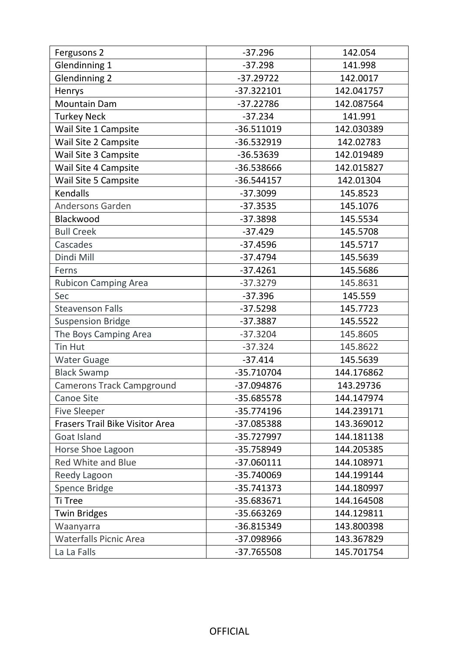| Fergusons 2                      | $-37.296$    | 142.054    |
|----------------------------------|--------------|------------|
| Glendinning 1                    | $-37.298$    | 141.998    |
| <b>Glendinning 2</b>             | $-37.29722$  | 142.0017   |
| Henrys                           | $-37.322101$ | 142.041757 |
| <b>Mountain Dam</b>              | $-37.22786$  | 142.087564 |
| <b>Turkey Neck</b>               | $-37.234$    | 141.991    |
| Wail Site 1 Campsite             | $-36.511019$ | 142.030389 |
| Wail Site 2 Campsite             | -36.532919   | 142.02783  |
| Wail Site 3 Campsite             | -36.53639    | 142.019489 |
| Wail Site 4 Campsite             | -36.538666   | 142.015827 |
| Wail Site 5 Campsite             | $-36.544157$ | 142.01304  |
| Kendalls                         | $-37.3099$   | 145.8523   |
| <b>Andersons Garden</b>          | $-37.3535$   | 145.1076   |
| Blackwood                        | $-37.3898$   | 145.5534   |
| <b>Bull Creek</b>                | $-37.429$    | 145.5708   |
| Cascades                         | $-37.4596$   | 145.5717   |
| Dindi Mill                       | $-37.4794$   | 145.5639   |
| Ferns                            | $-37.4261$   | 145.5686   |
| <b>Rubicon Camping Area</b>      | $-37.3279$   | 145.8631   |
| Sec                              | $-37.396$    | 145.559    |
| <b>Steavenson Falls</b>          | $-37.5298$   | 145.7723   |
| <b>Suspension Bridge</b>         | $-37.3887$   | 145.5522   |
| The Boys Camping Area            | $-37.3204$   | 145.8605   |
| Tin Hut                          | $-37.324$    | 145.8622   |
| <b>Water Guage</b>               | $-37.414$    | 145.5639   |
| <b>Black Swamp</b>               | -35.710704   | 144.176862 |
| <b>Camerons Track Campground</b> | -37.094876   | 143.29736  |
| Canoe Site                       | -35.685578   | 144.147974 |
| <b>Five Sleeper</b>              | $-35.774196$ | 144.239171 |
| Frasers Trail Bike Visitor Area  | -37.085388   | 143.369012 |
| Goat Island                      | -35.727997   | 144.181138 |
| Horse Shoe Lagoon                | -35.758949   | 144.205385 |
| Red White and Blue               | $-37.060111$ | 144.108971 |
| Reedy Lagoon                     | -35.740069   | 144.199144 |
| Spence Bridge                    | $-35.741373$ | 144.180997 |
| Ti Tree                          | -35.683671   | 144.164508 |
| <b>Twin Bridges</b>              | -35.663269   | 144.129811 |
| Waanyarra                        | -36.815349   | 143.800398 |
| <b>Waterfalls Picnic Area</b>    | -37.098966   | 143.367829 |
| La La Falls                      | -37.765508   | 145.701754 |